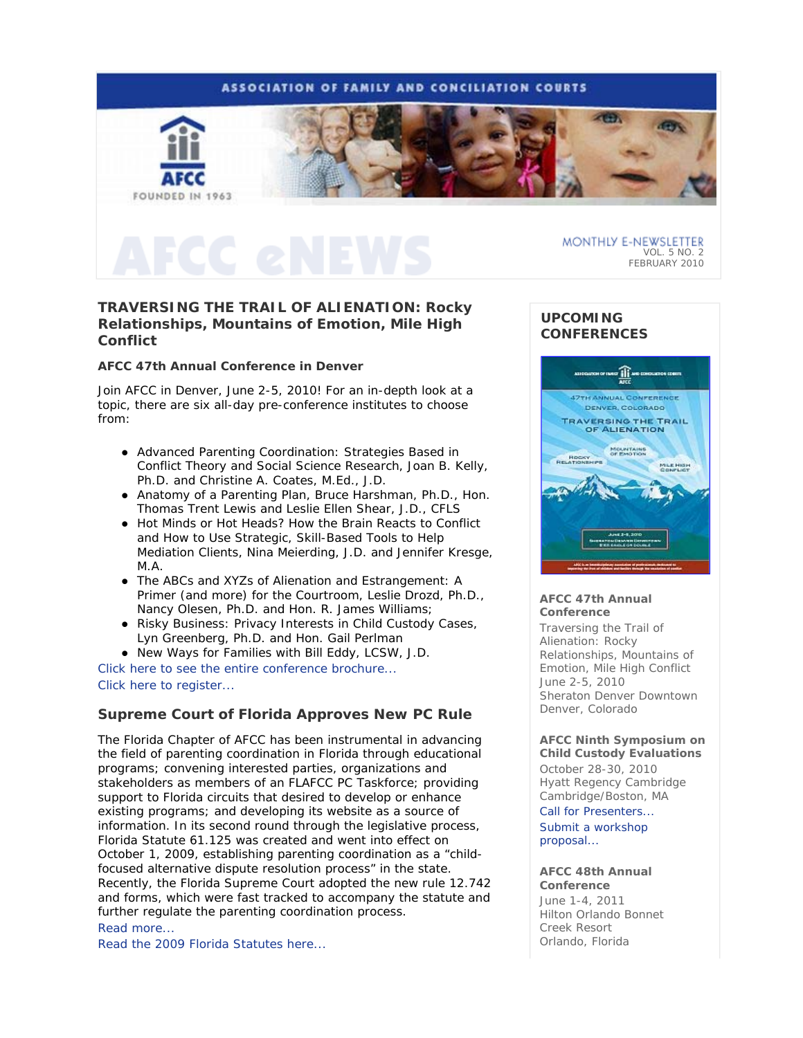

## **TRAVERSING THE TRAIL OF ALIENATION: Rocky Relationships, Mountains of Emotion, Mile High Conflict**

### **AFCC 47th Annual Conference in Denver**

Join AFCC in Denver, June 2-5, 2010! For an in-depth look at a topic, there are six all-day pre-conference institutes to choose from:

- *Advanced Parenting Coordination: Strategies Based in Conflict Theory and Social Science Research*, Joan B. Kelly, Ph.D. and Christine A. Coates, M.Ed., J.D.
- *Anatomy of a Parenting Plan*, Bruce Harshman, Ph.D., Hon. Thomas Trent Lewis and Leslie Ellen Shear, J.D., CFLS
- *Hot Minds or Hot Heads? How the Brain Reacts to Conflict and How to Use Strategic, Skill-Based Tools to Help Mediation Clients*, Nina Meierding, J.D. and Jennifer Kresge, M.A.
- *The ABCs and XYZs of Alienation and Estrangement: A Primer (and more) for the Courtroom*, Leslie Drozd, Ph.D., Nancy Olesen, Ph.D. and Hon. R. James Williams;
- *Risky Business: Privacy Interests in Child Custody Cases*, Lyn Greenberg, Ph.D. and Hon. Gail Perlman
- *New Ways for Families* with Bill Eddy, LCSW, J.D.

Click here to see the entire conference brochure... Click here to register...

## **Supreme Court of Florida Approves New PC Rule**

The Florida Chapter of AFCC has been instrumental in advancing the field of parenting coordination in Florida through educational programs; convening interested parties, organizations and stakeholders as members of an FLAFCC PC Taskforce; providing support to Florida circuits that desired to develop or enhance existing programs; and developing its website as a source of information. In its second round through the legislative process, Florida Statute 61.125 was created and went into effect on October 1, 2009, establishing parenting coordination as a "childfocused alternative dispute resolution process" in the state. Recently, the Florida Supreme Court adopted the new rule 12.742 and forms, which were fast tracked to accompany the statute and further regulate the parenting coordination process. Read more...

Read the 2009 Florida Statutes here...

## **UPCOMING CONFERENCES**



#### **AFCC 47th Annual Conference**

*Traversing the Trail of Alienation: Rocky Relationships, Mountains of Emotion, Mile High Conflict* June 2-5, 2010 Sheraton Denver Downtown Denver, Colorado

#### **AFCC Ninth Symposium on Child Custody Evaluations**

October 28-30, 2010 Hyatt Regency Cambridge Cambridge/Boston, MA

Call for Presenters... Submit a workshop proposal...

#### **AFCC 48th Annual Conference**

June 1-4, 2011 Hilton Orlando Bonnet Creek Resort Orlando, Florida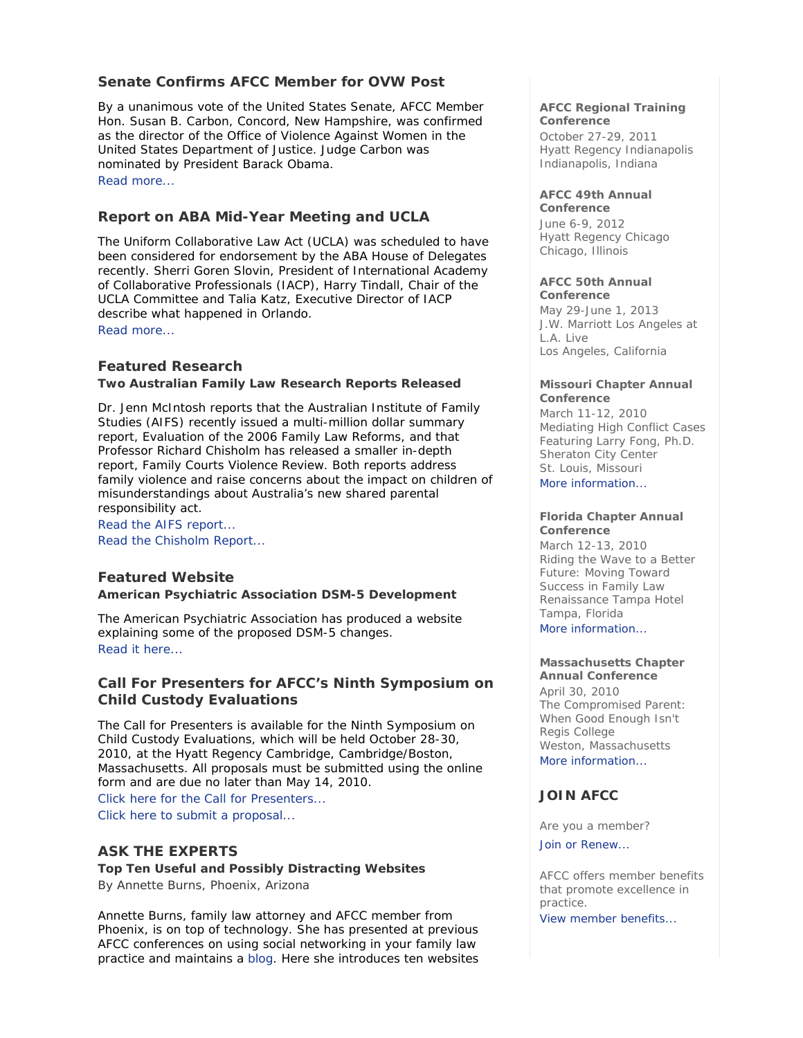## **Senate Confirms AFCC Member for OVW Post**

By a unanimous vote of the United States Senate, AFCC Member Hon. Susan B. Carbon, Concord, New Hampshire, was confirmed as the director of the Office of Violence Against Women in the United States Department of Justice. Judge Carbon was nominated by President Barack Obama. Read more...

## **Report on ABA Mid-Year Meeting and UCLA**

The Uniform Collaborative Law Act (UCLA) was scheduled to have been considered for endorsement by the ABA House of Delegates recently. Sherri Goren Slovin, President of International Academy of Collaborative Professionals (IACP), Harry Tindall, Chair of the UCLA Committee and Talia Katz, Executive Director of IACP describe what happened in Orlando. Read more...

## **Featured Research**

#### **Two Australian Family Law Research Reports Released**

Dr. Jenn McIntosh reports that the Australian Institute of Family Studies (AIFS) recently issued a multi-million dollar summary report, *Evaluation of the 2006 Family Law Reforms*, and that Professor Richard Chisholm has released a smaller in-depth report, *Family Courts Violence Review*. Both reports address family violence and raise concerns about the impact on children of misunderstandings about Australia's new shared parental responsibility act.

Read the AIFS report... Read the Chisholm Report...

## **Featured Website**

#### **American Psychiatric Association DSM-5 Development**

The American Psychiatric Association has produced a website explaining some of the proposed DSM-5 changes. Read it here...

## **Call For Presenters for AFCC's Ninth Symposium on Child Custody Evaluations**

The Call for Presenters is available for the Ninth Symposium on Child Custody Evaluations, which will be held October 28-30, 2010, at the Hyatt Regency Cambridge, Cambridge/Boston, Massachusetts. All proposals must be submitted using the online form and are due no later than May 14, 2010. Click here for the Call for Presenters...

Click here to submit a proposal...

## **ASK THE EXPERTS**

**Top Ten Useful and Possibly Distracting Websites**  *By Annette Burns, Phoenix, Arizona* 

Annette Burns, family law attorney and AFCC member from Phoenix, is on top of technology. She has presented at previous AFCC conferences on using social networking in your family law practice and maintains a blog. Here she introduces ten websites

#### **AFCC Regional Training Conference**

October 27-29, 2011 Hyatt Regency Indianapolis Indianapolis, Indiana

#### **AFCC 49th Annual Conference**

June 6-9, 2012 Hyatt Regency Chicago Chicago, Illinois

## **AFCC 50th Annual**

**Conference** May 29-June 1, 2013 J.W. Marriott Los Angeles at L.A. Live Los Angeles, California

#### **Missouri Chapter Annual Conference**

March 11-12, 2010 *Mediating High Conflict Cases* Featuring Larry Fong, Ph.D. Sheraton City Center St. Louis, Missouri More information...

#### **Florida Chapter Annual Conference**

March 12-13, 2010 *Riding the Wave to a Better Future: Moving Toward Success in Family Law*  Renaissance Tampa Hotel Tampa, Florida More information...

#### **Massachusetts Chapter Annual Conference**

April 30, 2010 *The Compromised Parent: When Good Enough Isn't*  Regis College Weston, Massachusetts More information...

## **JOIN AFCC**

Are you a member?

Join or Renew...

AFCC offers member benefits that promote excellence in practice. View member benefits...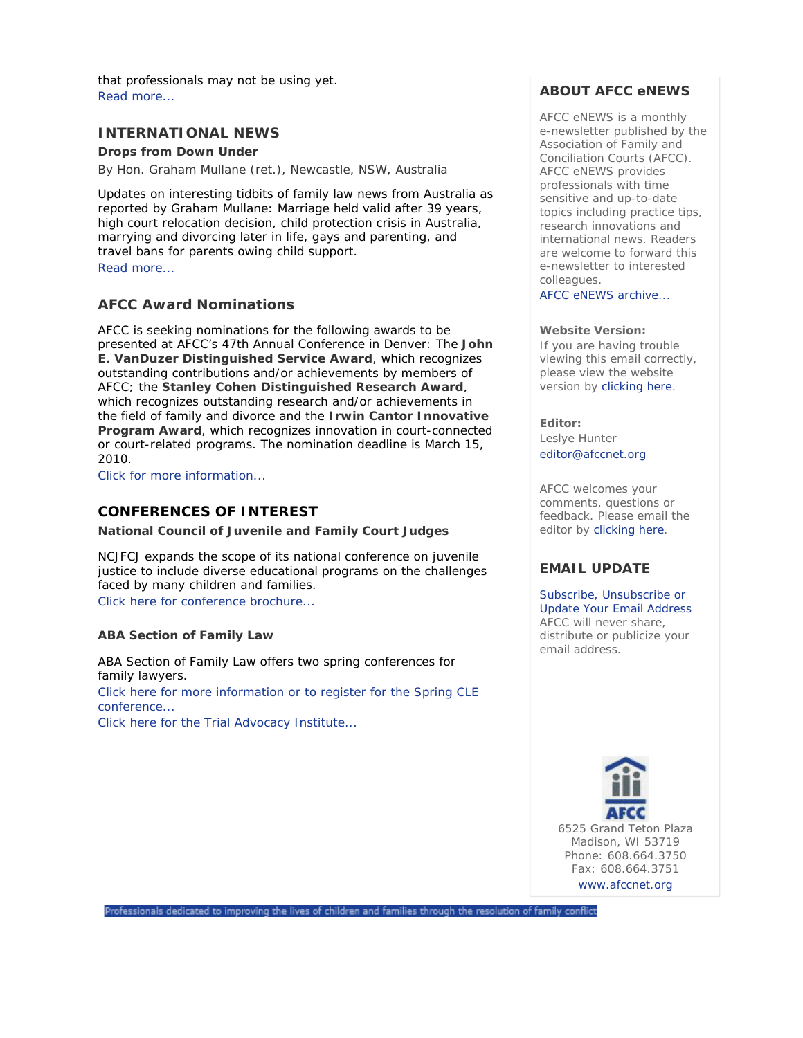that professionals may not be using yet. Read more...

## **INTERNATIONAL NEWS**

**Drops from Down Under** 

*By Hon. Graham Mullane (ret.), Newcastle, NSW, Australia* 

Updates on interesting tidbits of family law news from Australia as reported by Graham Mullane: Marriage held valid after 39 years, high court relocation decision, child protection crisis in Australia, marrying and divorcing later in life, gays and parenting, and travel bans for parents owing child support. Read more...

## **AFCC Award Nominations**

AFCC is seeking nominations for the following awards to be presented at AFCC's 47th Annual Conference in Denver: The **John E. VanDuzer Distinguished Service Award**, which recognizes outstanding contributions and/or achievements by members of AFCC; the **Stanley Cohen Distinguished Research Award**, which recognizes outstanding research and/or achievements in the field of family and divorce and the **Irwin Cantor Innovative Program Award**, which recognizes innovation in court-connected or court-related programs. The nomination deadline is March 15, 2010.

Click for more information...

## **CONFERENCES OF INTEREST**

**National Council of Juvenile and Family Court Judges**

NCJFCJ expands the scope of its national conference on juvenile justice to include diverse educational programs on the challenges faced by many children and families. Click here for conference brochure...

#### **ABA Section of Family Law**

ABA Section of Family Law offers two spring conferences for family lawyers. Click here for more information or to register for the Spring CLE conference...

Click here for the Trial Advocacy Institute...

## **ABOUT AFCC eNEWS**

*AFCC eNEWS* is a monthly e-newsletter published by the Association of Family and Conciliation Courts (AFCC). *AFCC eNEWS* provides professionals with time sensitive and up-to-date topics including practice tips, research innovations and international news. Readers are welcome to forward this e-newsletter to interested colleagues.

AFCC eNEWS archive...

#### **Website Version:**

If you are having trouble viewing this email correctly, please view the website version by clicking here.

**Editor:**  Leslye Hunter editor@afccnet.org

AFCC welcomes your comments, questions or feedback. Please email the editor by clicking here.

## **EMAIL UPDATE**

Subscribe, Unsubscribe or Update Your Email Address AFCC will never share, distribute or publicize your email address.



Professionals dedicated to improving the lives of children and families through the resolution of family conflict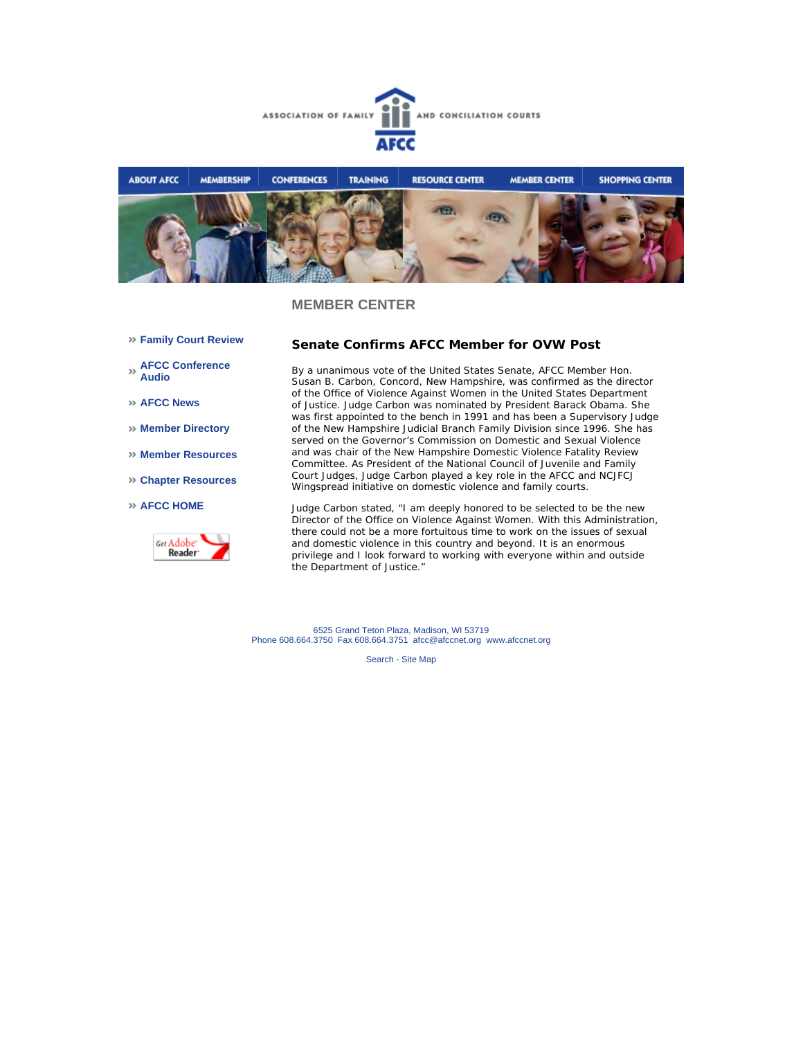



- **Family Court Review**
- **AFCC Conference Audio**
- **AFCC News**
- **Member Directory**
- **Member Resources**
- **Chapter Resources**
- **AFCC HOME**



#### **Senate Confirms AFCC Member for OVW Post**

By a unanimous vote of the United States Senate, AFCC Member Hon. Susan B. Carbon, Concord, New Hampshire, was confirmed as the director of the Office of Violence Against Women in the United States Department of Justice. Judge Carbon was nominated by President Barack Obama. She was first appointed to the bench in 1991 and has been a Supervisory Judge of the New Hampshire Judicial Branch Family Division since 1996. She has served on the Governor's Commission on Domestic and Sexual Violence and was chair of the New Hampshire Domestic Violence Fatality Review Committee. As President of the National Council of Juvenile and Family Court Judges, Judge Carbon played a key role in the AFCC and NCJFCJ Wingspread initiative on domestic violence and family courts.

Judge Carbon stated, "I am deeply honored to be selected to be the new Director of the Office on Violence Against Women. With this Administration, there could not be a more fortuitous time to work on the issues of sexual and domestic violence in this country and beyond. It is an enormous privilege and I look forward to working with everyone within and outside the Department of Justice."

6525 Grand Teton Plaza, Madison, WI 53719 Phone 608.664.3750 Fax 608.664.3751 afcc@afccnet.org www.afccnet.org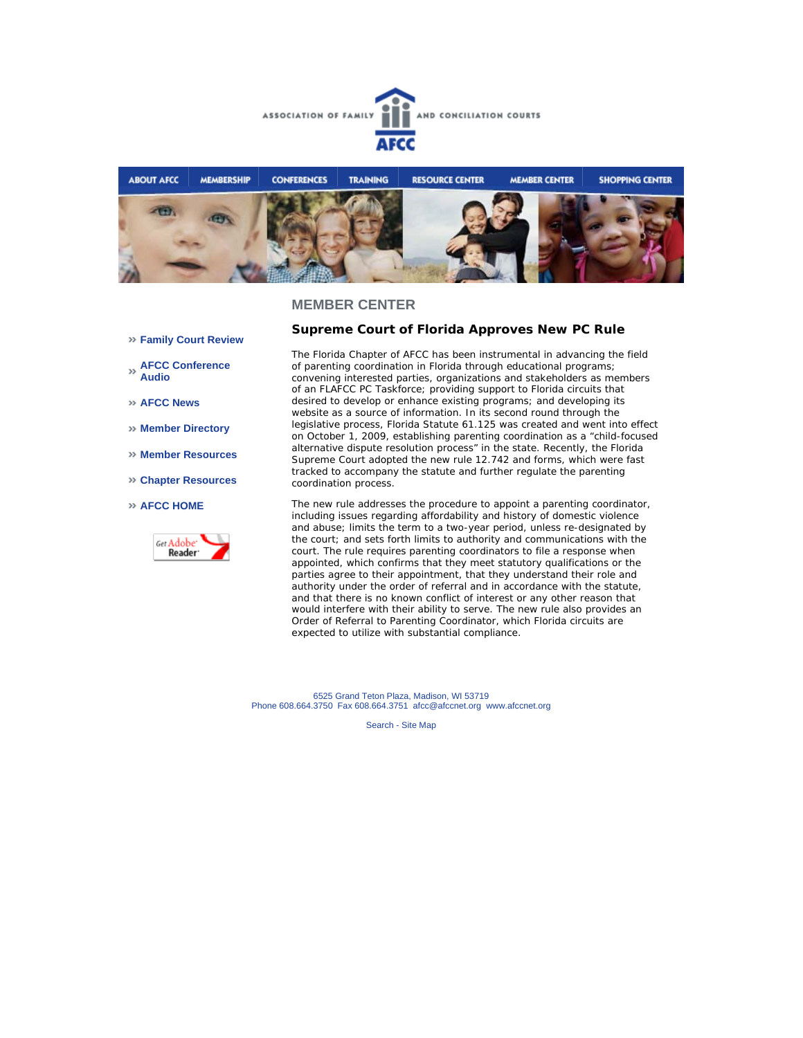



- **Family Court Review**
- **AFCC Conference Audio**
- **AFCC News**
- **Member Directory**
- **Member Resources**
- **Chapter Resources**
- **AFCC HOME**



#### **Supreme Court of Florida Approves New PC Rule**

The Florida Chapter of AFCC has been instrumental in advancing the field of parenting coordination in Florida through educational programs; convening interested parties, organizations and stakeholders as members of an FLAFCC PC Taskforce; providing support to Florida circuits that desired to develop or enhance existing programs; and developing its website as a source of information. In its second round through the legislative process, Florida Statute 61.125 was created and went into effect on October 1, 2009, establishing parenting coordination as a "child-focused alternative dispute resolution process" in the state. Recently, the Florida Supreme Court adopted the new rule 12.742 and forms, which were fast tracked to accompany the statute and further regulate the parenting coordination process.

The new rule addresses the procedure to appoint a parenting coordinator, including issues regarding affordability and history of domestic violence and abuse; limits the term to a two-year period, unless re-designated by the court; and sets forth limits to authority and communications with the court. The rule requires parenting coordinators to file a response when appointed, which confirms that they meet statutory qualifications or the parties agree to their appointment, that they understand their role and authority under the order of referral and in accordance with the statute, and that there is no known conflict of interest or any other reason that would interfere with their ability to serve. The new rule also provides an Order of Referral to Parenting Coordinator, which Florida circuits are expected to utilize with substantial compliance.

6525 Grand Teton Plaza, Madison, WI 53719 Phone 608.664.3750 Fax 608.664.3751 afcc@afccnet.org www.afccnet.org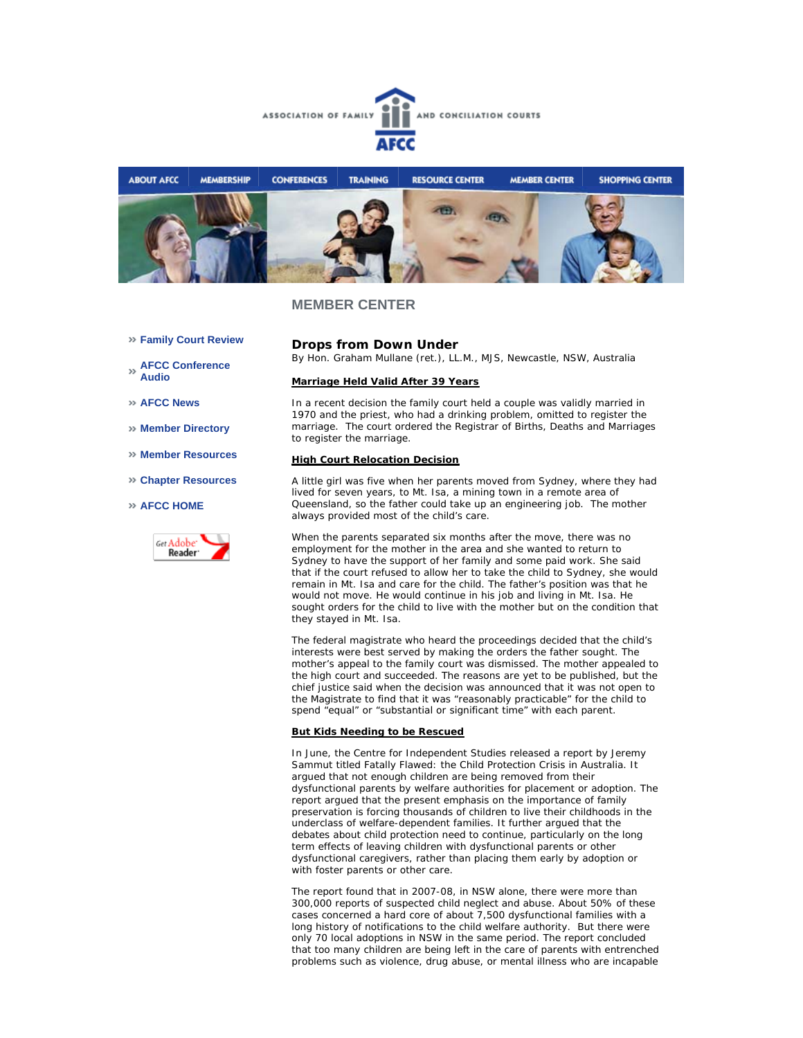



- **Family Court Review**
- **AFCC Conference Audio**
- **AFCC News**
- **Member Directory**
- **Member Resources**
- **Chapter Resources**
- **AFCC HOME**



**Drops from Down Under** *By Hon. Graham Mullane (ret.), LL.M., MJS, Newcastle, NSW, Australia*

#### **Marriage Held Valid After 39 Years**

In a recent decision the family court held a couple was validly married in 1970 and the priest, who had a drinking problem, omitted to register the marriage. The court ordered the Registrar of Births, Deaths and Marriages to register the marriage.

#### **High Court Relocation Decision**

A little girl was five when her parents moved from Sydney, where they had lived for seven years, to Mt. Isa, a mining town in a remote area of Queensland, so the father could take up an engineering job. The mother always provided most of the child's care.

When the parents separated six months after the move, there was no employment for the mother in the area and she wanted to return to Sydney to have the support of her family and some paid work. She said that if the court refused to allow her to take the child to Sydney, she would remain in Mt. Isa and care for the child. The father's position was that he would not move. He would continue in his job and living in Mt. Isa. He sought orders for the child to live with the mother but on the condition that they stayed in Mt. Isa.

The federal magistrate who heard the proceedings decided that the child's interests were best served by making the orders the father sought. The mother's appeal to the family court was dismissed. The mother appealed to the high court and succeeded. The reasons are yet to be published, but the chief justice said when the decision was announced that it was not open to the Magistrate to find that it was "reasonably practicable" for the child to spend "equal" or "substantial or significant time" with each parent.

#### **But Kids Needing to be Rescued**

In June, the Centre for Independent Studies released a report by Jeremy Sammut titled *Fatally Flawed: the Child Protection Crisis in Australia*. It argued that not enough children are being removed from their dysfunctional parents by welfare authorities for placement or adoption. The report argued that the present emphasis on the importance of family preservation is forcing thousands of children to live their childhoods in the underclass of welfare-dependent families. It further argued that the debates about child protection need to continue, particularly on the long term effects of leaving children with dysfunctional parents or other dysfunctional caregivers, rather than placing them early by adoption or with foster parents or other care.

The report found that in 2007-08, in NSW alone, there were more than 300,000 reports of suspected child neglect and abuse. About 50% of these cases concerned a hard core of about 7,500 dysfunctional families with a long history of notifications to the child welfare authority. But there were only 70 local adoptions in NSW in the same period. The report concluded that too many children are being left in the care of parents with entrenched problems such as violence, drug abuse, or mental illness who are incapable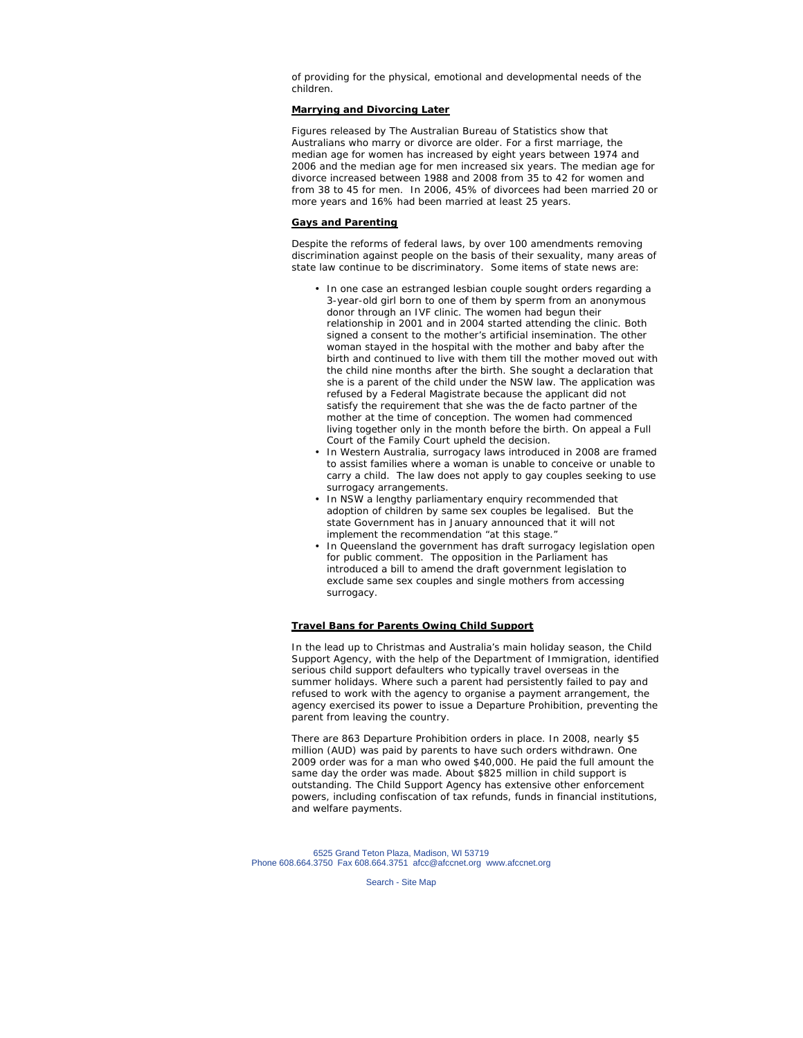of providing for the physical, emotional and developmental needs of the children.

#### **Marrying and Divorcing Later**

Figures released by The Australian Bureau of Statistics show that Australians who marry or divorce are older. For a first marriage, the median age for women has increased by eight years between 1974 and 2006 and the median age for men increased six years. The median age for divorce increased between 1988 and 2008 from 35 to 42 for women and from 38 to 45 for men. In 2006, 45% of divorcees had been married 20 or more years and 16% had been married at least 25 years.

#### **Gays and Parenting**

Despite the reforms of federal laws, by over 100 amendments removing discrimination against people on the basis of their sexuality, many areas of state law continue to be discriminatory. Some items of state news are:

- In one case an estranged lesbian couple sought orders regarding a 3-year-old girl born to one of them by sperm from an anonymous donor through an IVF clinic. The women had begun their relationship in 2001 and in 2004 started attending the clinic. Both signed a consent to the mother's artificial insemination. The other woman stayed in the hospital with the mother and baby after the birth and continued to live with them till the mother moved out with the child nine months after the birth. She sought a declaration that she is a parent of the child under the NSW law. The application was refused by a Federal Magistrate because the applicant did not satisfy the requirement that she was the de facto partner of the mother at the time of conception. The women had commenced living together only in the month before the birth. On appeal a Full Court of the Family Court upheld the decision.
- In Western Australia, surrogacy laws introduced in 2008 are framed to assist families where a woman is unable to conceive or unable to carry a child. The law does not apply to gay couples seeking to use surrogacy arrangements.
- In NSW a lengthy parliamentary enquiry recommended that adoption of children by same sex couples be legalised. But the state Government has in January announced that it will not implement the recommendation "at this stage." •
- In Queensland the government has draft surrogacy legislation open for public comment. The opposition in the Parliament has introduced a bill to amend the draft government legislation to exclude same sex couples and single mothers from accessing surrogacy. •

#### **Travel Bans for Parents Owing Child Support**

In the lead up to Christmas and Australia's main holiday season, the Child Support Agency, with the help of the Department of Immigration, identified serious child support defaulters who typically travel overseas in the summer holidays. Where such a parent had persistently failed to pay and refused to work with the agency to organise a payment arrangement, the agency exercised its power to issue a Departure Prohibition, preventing the parent from leaving the country.

There are 863 Departure Prohibition orders in place. In 2008, nearly \$5 million (AUD) was paid by parents to have such orders withdrawn. One 2009 order was for a man who owed \$40,000. He paid the full amount the same day the order was made. About \$825 million in child support is outstanding. The Child Support Agency has extensive other enforcement powers, including confiscation of tax refunds, funds in financial institutions, and welfare payments.

6525 Grand Teton Plaza, Madison, WI 53719 Phone 608.664.3750 Fax 608.664.3751 afcc@afccnet.org www.afccnet.org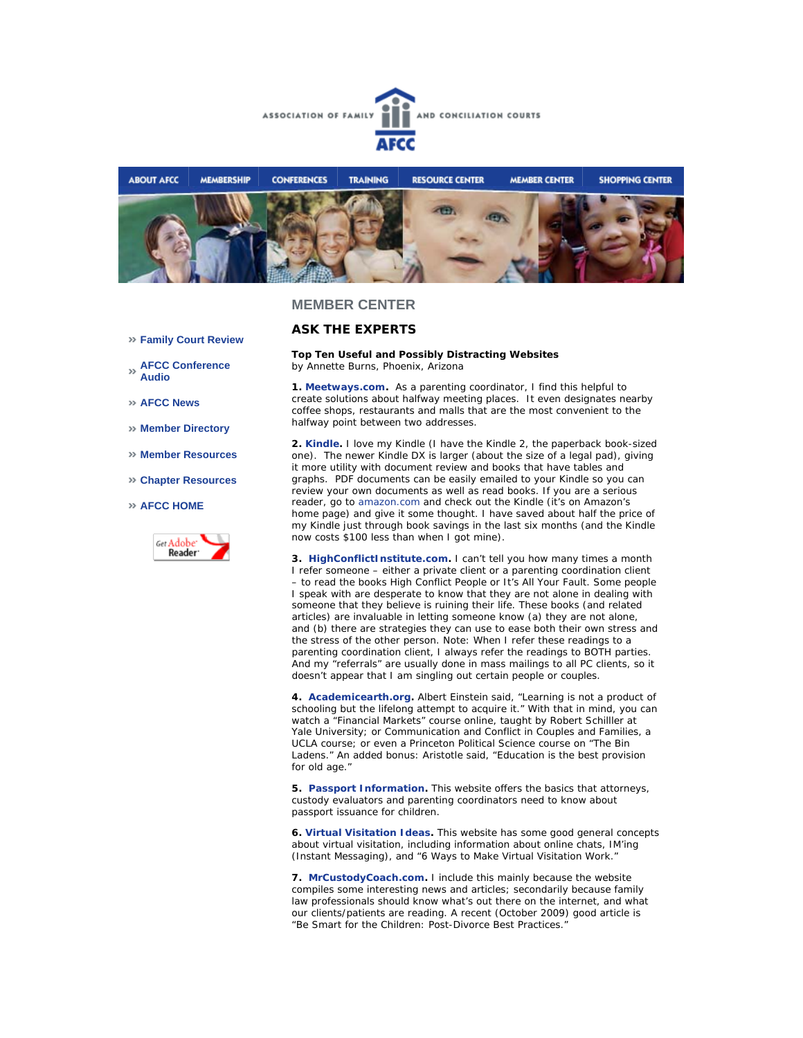



#### **Family Court Review**

**AFCC Conference Audio** 

**AFCC News** 

- **Member Directory**
- **Member Resources**
- **Chapter Resources**

#### **AFCC HOME**



# **ASK THE EXPERTS**

#### **Top Ten Useful and Possibly Distracting Websites** *by Annette Burns, Phoenix, Arizona*

**1. Meetways.com.** As a parenting coordinator, I find this helpful to create solutions about halfway meeting places. It even designates nearby coffee shops, restaurants and malls that are the most convenient to the halfway point between two addresses.

**2. Kindle.** I love my Kindle (I have the Kindle 2, the paperback book-sized one). The newer Kindle DX is larger (about the size of a legal pad), giving it more utility with document review and books that have tables and graphs. PDF documents can be easily emailed to your Kindle so you can review your own documents as well as read books. If you are a serious reader, go to amazon.com and check out the Kindle (it's on Amazon's home page) and give it some thought. I have saved about half the price of my Kindle just through book savings in the last six months (and the Kindle now costs \$100 less than when I got mine).

**3. HighConflictInstitute.com.** I can't tell you how many times a month I refer someone – either a private client or a parenting coordination client – to read the books *High Conflict People* or *It's All Your Fault*. Some people I speak with are desperate to know that they are not alone in dealing with someone that they believe is ruining their life. These books (and related articles) are invaluable in letting someone know (a) they are not alone, and (b) there are strategies they can use to ease both their own stress and the stress of the other person. Note: When I refer these readings to a parenting coordination client, I always refer the readings to BOTH parties. And my "referrals" are usually done in mass mailings to all PC clients, so it doesn't appear that I am singling out certain people or couples.

**4. Academicearth.org.** Albert Einstein said, "Learning is not a product of schooling but the lifelong attempt to acquire it." With that in mind, you can watch a "Financial Markets" course online, taught by Robert Schilller at Yale University; or Communication and Conflict in Couples and Families, a UCLA course; or even a Princeton Political Science course on "The Bin Ladens." An added bonus: Aristotle said, "Education is the best provision for old age."

**5. Passport Information.** This website offers the basics that attorneys, custody evaluators and parenting coordinators need to know about passport issuance for children.

**6. Virtual Visitation Ideas.** This website has some good general concepts about virtual visitation, including information about online chats, IM'ing (Instant Messaging), and "6 Ways to Make Virtual Visitation Work."

**7. MrCustodyCoach.com.** I include this mainly because the website compiles some interesting news and articles; secondarily because family law professionals should know what's out there on the internet, and what our clients/patients are reading. A recent (October 2009) good article is "Be Smart for the Children: Post-Divorce Best Practices."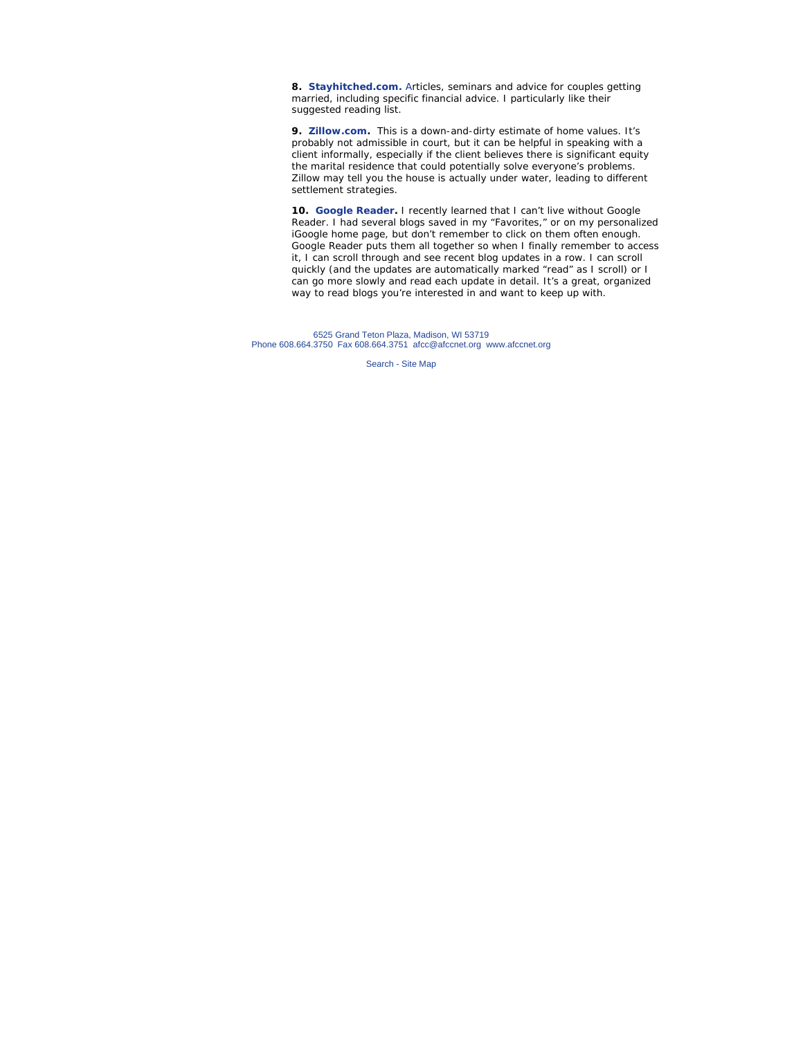**8. Stayhitched.com.** Articles, seminars and advice for couples getting married, including specific financial advice. I particularly like their suggested reading list.

**9. Zillow.com.** This is a down-and-dirty estimate of home values. It's probably not admissible in court, but it can be helpful in speaking with a client informally, especially if the client believes there is significant equity the marital residence that could potentially solve everyone's problems. Zillow may tell you the house is actually under water, leading to different settlement strategies.

**10. Google Reader.** I recently learned that I can't live without Google Reader. I had several blogs saved in my "Favorites," or on my personalized iGoogle home page, but don't remember to click on them often enough. Google Reader puts them all together so when I finally remember to access it, I can scroll through and see recent blog updates in a row. I can scroll quickly (and the updates are automatically marked "read" as I scroll) or I can go more slowly and read each update in detail. It's a great, organized way to read blogs you're interested in and want to keep up with.

6525 Grand Teton Plaza, Madison, WI 53719 Phone 608.664.3750 Fax 608.664.3751 afcc@afccnet.org www.afccnet.org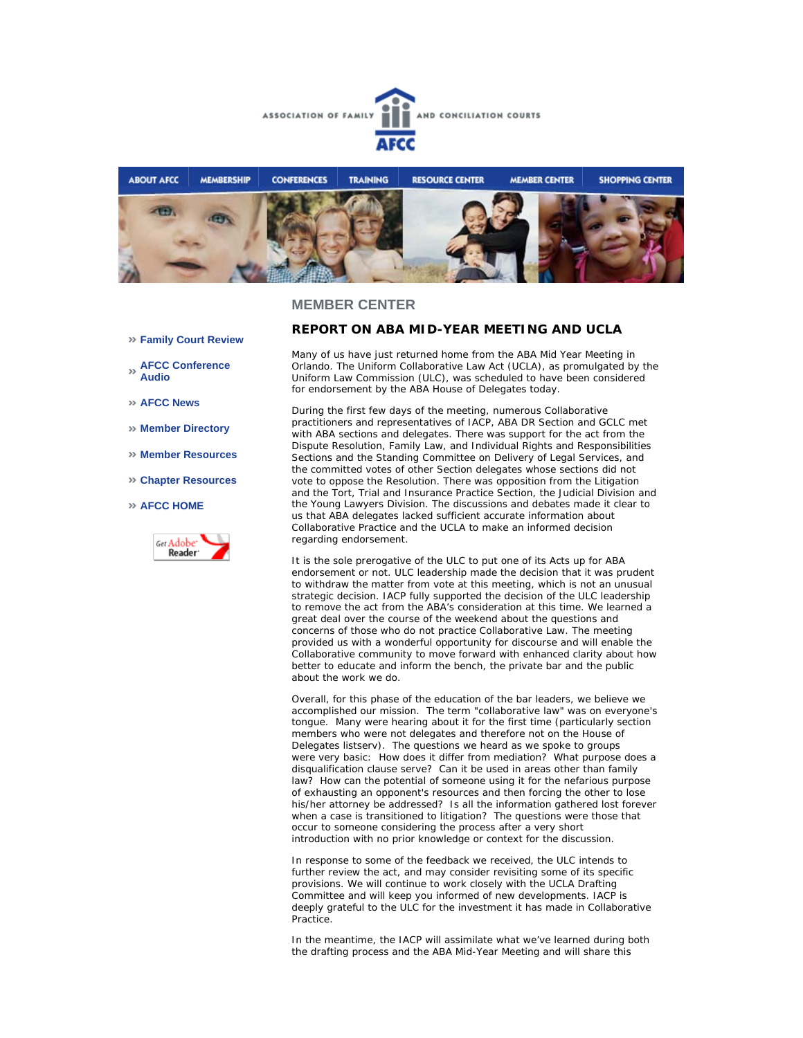



- **Family Court Review**
- **AFCC Conference Audio**
- **AFCC News**
- **Member Directory**
- **Member Resources**
- **Chapter Resources**
- **AFCC HOME**



#### **REPORT ON ABA MID-YEAR MEETING AND UCLA**

Many of us have just returned home from the ABA Mid Year Meeting in Orlando. The Uniform Collaborative Law Act (UCLA), as promulgated by the Uniform Law Commission (ULC), was scheduled to have been considered for endorsement by the ABA House of Delegates today.

During the first few days of the meeting, numerous Collaborative practitioners and representatives of IACP, ABA DR Section and GCLC met with ABA sections and delegates. There was support for the act from the Dispute Resolution, Family Law, and Individual Rights and Responsibilities Sections and the Standing Committee on Delivery of Legal Services, and the committed votes of other Section delegates whose sections did not vote to oppose the Resolution. There was opposition from the Litigation and the Tort, Trial and Insurance Practice Section, the Judicial Division and the Young Lawyers Division. The discussions and debates made it clear to us that ABA delegates lacked sufficient accurate information about Collaborative Practice and the UCLA to make an informed decision regarding endorsement.

It is the sole prerogative of the ULC to put one of its Acts up for ABA endorsement or not. ULC leadership made the decision that it was prudent to withdraw the matter from vote at this meeting, which is not an unusual strategic decision. IACP fully supported the decision of the ULC leadership to remove the act from the ABA's consideration at this time. We learned a great deal over the course of the weekend about the questions and concerns of those who do not practice Collaborative Law. The meeting provided us with a wonderful opportunity for discourse and will enable the Collaborative community to move forward with enhanced clarity about how better to educate and inform the bench, the private bar and the public about the work we do.

Overall, for this phase of the education of the bar leaders, we believe we accomplished our mission. The term "collaborative law" was on everyone's tongue. Many were hearing about it for the first time (particularly section members who were not delegates and therefore not on the House of Delegates listserv). The questions we heard as we spoke to groups were very basic: How does it differ from mediation? What purpose does a disqualification clause serve? Can it be used in areas other than family law? How can the potential of someone using it for the nefarious purpose of exhausting an opponent's resources and then forcing the other to lose his/her attorney be addressed? Is all the information gathered lost forever when a case is transitioned to litigation? The questions were those that occur to someone considering the process after a very short introduction with no prior knowledge or context for the discussion.

In response to some of the feedback we received, the ULC intends to further review the act, and may consider revisiting some of its specific provisions. We will continue to work closely with the UCLA Drafting Committee and will keep you informed of new developments. IACP is deeply grateful to the ULC for the investment it has made in Collaborative Practice.

In the meantime, the IACP will assimilate what we've learned during both the drafting process and the ABA Mid-Year Meeting and will share this